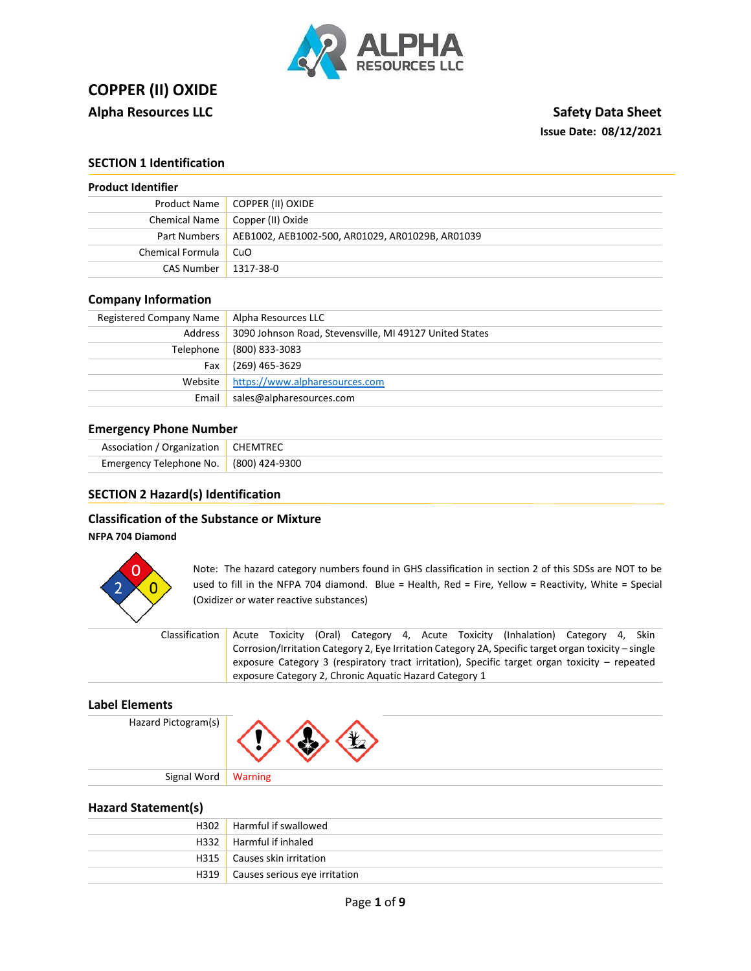

# **COPPER (II) OXIDE Alpha Resources LLC** Safety Data Sheet

# **Issue Date: 08/12/2021**

# **SECTION 1 Identification**

| <b>Product Identifier</b> |  |  |
|---------------------------|--|--|
|                           |  |  |

| Product Name   COPPER (II) OXIDE                                |
|-----------------------------------------------------------------|
| Chemical Name   Copper (II) Oxide                               |
| Part Numbers   AEB1002, AEB1002-500, AR01029, AR01029B, AR01039 |
| Chemical Formula   CuO                                          |
| CAS Number   1317-38-0                                          |
|                                                                 |

# **Company Information**

| Registered Company Name | Alpha Resources LLC                                     |
|-------------------------|---------------------------------------------------------|
| Address                 | 3090 Johnson Road, Stevensville, MI 49127 United States |
| Telephone               | (800) 833-3083                                          |
| Fax                     | (269) 465-3629                                          |
| Website                 | https://www.alpharesources.com                          |
| Email                   | sales@alpharesources.com                                |

# **Emergency Phone Number**

| Association / Organization   CHEMTREC  |  |
|----------------------------------------|--|
| Emergency Telephone No. (800) 424-9300 |  |

### **SECTION 2 Hazard(s) Identification**

# **Classification of the Substance or Mixture**

**NFPA 704 Diamond**



Note: The hazard category numbers found in GHS classification in section 2 of this SDSs are NOT to be used to fill in the NFPA 704 diamond. Blue = Health, Red = Fire, Yellow = Reactivity, White = Special (Oxidizer or water reactive substances)

| Classification |  |                                                        |  | Acute Toxicity (Oral) Category 4, Acute Toxicity (Inhalation) Category 4, Skin                       |  |  |
|----------------|--|--------------------------------------------------------|--|------------------------------------------------------------------------------------------------------|--|--|
|                |  |                                                        |  | Corrosion/Irritation Category 2, Eye Irritation Category 2A, Specific target organ toxicity – single |  |  |
|                |  |                                                        |  | exposure Category 3 (respiratory tract irritation), Specific target organ toxicity – repeated        |  |  |
|                |  | exposure Category 2, Chronic Aquatic Hazard Category 1 |  |                                                                                                      |  |  |

### **Label Elements**

Hazard Pictogram(s)



**Hazard Statement(s)**

| H302 Harmful if swallowed            |
|--------------------------------------|
| H332   Harmful if inhaled            |
| H315   Causes skin irritation        |
| H319   Causes serious eye irritation |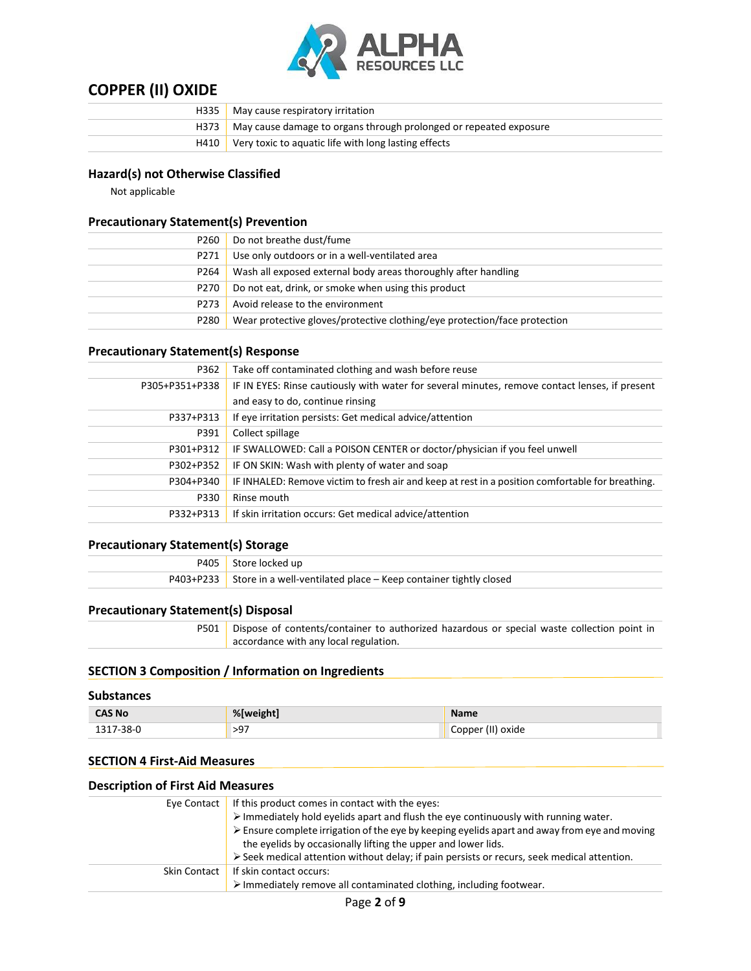

| H <sub>335</sub> | May cause respiratory irritation                                         |
|------------------|--------------------------------------------------------------------------|
|                  | H373   May cause damage to organs through prolonged or repeated exposure |
|                  | H410 Very toxic to aquatic life with long lasting effects                |

# **Hazard(s) not Otherwise Classified**

Not applicable

# **Precautionary Statement(s) Prevention**

| P260 | Do not breathe dust/fume                                                  |
|------|---------------------------------------------------------------------------|
| P271 | Use only outdoors or in a well-ventilated area                            |
| P264 | Wash all exposed external body areas thoroughly after handling            |
| P270 | Do not eat, drink, or smoke when using this product                       |
| P273 | Avoid release to the environment                                          |
| P280 | Wear protective gloves/protective clothing/eye protection/face protection |

# **Precautionary Statement(s) Response**

| P362           | Take off contaminated clothing and wash before reuse                                             |
|----------------|--------------------------------------------------------------------------------------------------|
| P305+P351+P338 | IF IN EYES: Rinse cautiously with water for several minutes, remove contact lenses, if present   |
|                | and easy to do, continue rinsing                                                                 |
| P337+P313      | If eye irritation persists: Get medical advice/attention                                         |
| P391           | Collect spillage                                                                                 |
| P301+P312      | IF SWALLOWED: Call a POISON CENTER or doctor/physician if you feel unwell                        |
| P302+P352      | IF ON SKIN: Wash with plenty of water and soap                                                   |
| P304+P340      | IF INHALED: Remove victim to fresh air and keep at rest in a position comfortable for breathing. |
| P330           | Rinse mouth                                                                                      |
| P332+P313      | If skin irritation occurs: Get medical advice/attention                                          |
|                |                                                                                                  |

# **Precautionary Statement(s) Storage**

| P405 Store locked up                                                       |
|----------------------------------------------------------------------------|
| P403+P233 Store in a well-ventilated place – Keep container tightly closed |

# **Precautionary Statement(s) Disposal**

P501 | Dispose of contents/container to authorized hazardous or special waste collection point in accordance with any local regulation.

# **SECTION 3 Composition / Information on Ingredients**

#### **Substances**

| <b>CAS No</b> | %[weight]            | <b>Name</b>       |
|---------------|----------------------|-------------------|
| ./-38-Ր<br>-- | $\sim$ $-$<br>$\sim$ | Copper (II) oxide |

#### **SECTION 4 First-Aid Measures**

| <b>Description of First Aid Measures</b> |                                                                                                                                                                                                                                                                                                                                                                                                                        |  |
|------------------------------------------|------------------------------------------------------------------------------------------------------------------------------------------------------------------------------------------------------------------------------------------------------------------------------------------------------------------------------------------------------------------------------------------------------------------------|--|
| Eye Contact                              | If this product comes in contact with the eyes:<br>> Immediately hold eyelids apart and flush the eye continuously with running water.<br>$\triangleright$ Ensure complete irrigation of the eye by keeping eyelids apart and away from eye and moving<br>the eyelids by occasionally lifting the upper and lower lids.<br>> Seek medical attention without delay; if pain persists or recurs, seek medical attention. |  |
| Skin Contact                             | If skin contact occurs:<br>> Immediately remove all contaminated clothing, including footwear.                                                                                                                                                                                                                                                                                                                         |  |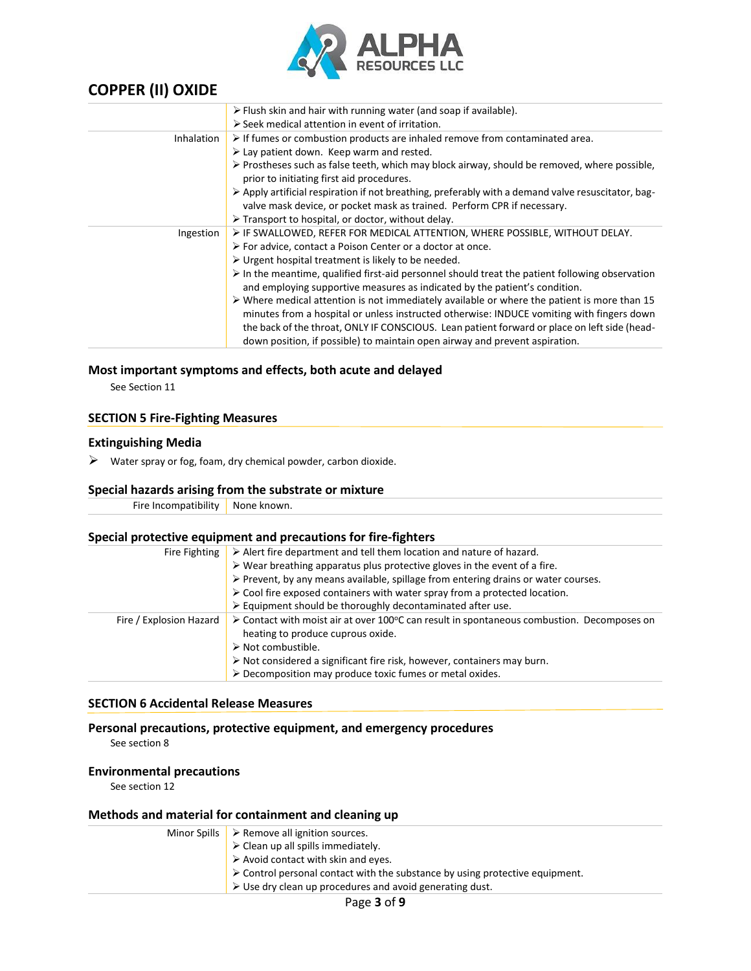

|                   | $\triangleright$ Flush skin and hair with running water (and soap if available).                                                                                                                        |
|-------------------|---------------------------------------------------------------------------------------------------------------------------------------------------------------------------------------------------------|
|                   | $\triangleright$ Seek medical attention in event of irritation.                                                                                                                                         |
| <b>Inhalation</b> | $\triangleright$ If fumes or combustion products are inhaled remove from contaminated area.                                                                                                             |
|                   | > Lay patient down. Keep warm and rested.                                                                                                                                                               |
|                   | $\triangleright$ Prostheses such as false teeth, which may block airway, should be removed, where possible,<br>prior to initiating first aid procedures.                                                |
|                   | > Apply artificial respiration if not breathing, preferably with a demand valve resuscitator, bag-<br>valve mask device, or pocket mask as trained. Perform CPR if necessary.                           |
|                   | $\triangleright$ Transport to hospital, or doctor, without delay.                                                                                                                                       |
| Ingestion         | $\triangleright$ IF SWALLOWED, REFER FOR MEDICAL ATTENTION, WHERE POSSIBLE, WITHOUT DELAY.                                                                                                              |
|                   | $\triangleright$ For advice, contact a Poison Center or a doctor at once.                                                                                                                               |
|                   | $\triangleright$ Urgent hospital treatment is likely to be needed.                                                                                                                                      |
|                   | $\triangleright$ In the meantime, qualified first-aid personnel should treat the patient following observation<br>and employing supportive measures as indicated by the patient's condition.            |
|                   | $\triangleright$ Where medical attention is not immediately available or where the patient is more than 15<br>minutes from a hospital or unless instructed otherwise: INDUCE vomiting with fingers down |
|                   | the back of the throat, ONLY IF CONSCIOUS. Lean patient forward or place on left side (head-<br>down position, if possible) to maintain open airway and prevent aspiration.                             |

# **Most important symptoms and effects, both acute and delayed**

See Section 11

# **SECTION 5 Fire-Fighting Measures**

### **Extinguishing Media**

 $\triangleright$  Water spray or fog, foam, dry chemical powder, carbon dioxide.

# **Special hazards arising from the substrate or mixture**

| Fire | วwn.<br>-NJ<br>____ |
|------|---------------------|
|      |                     |

### **Special protective equipment and precautions for fire-fighters**

| Fire Fighting           | $\triangleright$ Alert fire department and tell them location and nature of hazard.                                                                    |
|-------------------------|--------------------------------------------------------------------------------------------------------------------------------------------------------|
|                         | $\triangleright$ Wear breathing apparatus plus protective gloves in the event of a fire.                                                               |
|                         | > Prevent, by any means available, spillage from entering drains or water courses.                                                                     |
|                         | $\triangleright$ Cool fire exposed containers with water spray from a protected location.                                                              |
|                         | $\triangleright$ Equipment should be thoroughly decontaminated after use.                                                                              |
| Fire / Explosion Hazard | $\triangleright$ Contact with moist air at over 100 $\circ$ C can result in spontaneous combustion. Decomposes on<br>heating to produce cuprous oxide. |
|                         | $\triangleright$ Not combustible.                                                                                                                      |
|                         | $\triangleright$ Not considered a significant fire risk, however, containers may burn.                                                                 |
|                         | $\triangleright$ Decomposition may produce toxic fumes or metal oxides.                                                                                |
|                         |                                                                                                                                                        |

# **SECTION 6 Accidental Release Measures**

**Personal precautions, protective equipment, and emergency procedures**

See section 8

### **Environmental precautions**

See section 12

### **Methods and material for containment and cleaning up**

| Minor Spills $\triangleright$ Remove all ignition sources.                                  |
|---------------------------------------------------------------------------------------------|
| $\mathbf{V}$ $\triangleright$ Clean up all spills immediately.                              |
| $\blacktriangleright$ Avoid contact with skin and eyes.                                     |
| $\triangleright$ Control personal contact with the substance by using protective equipment. |
| $\triangleright$ Use dry clean up procedures and avoid generating dust.                     |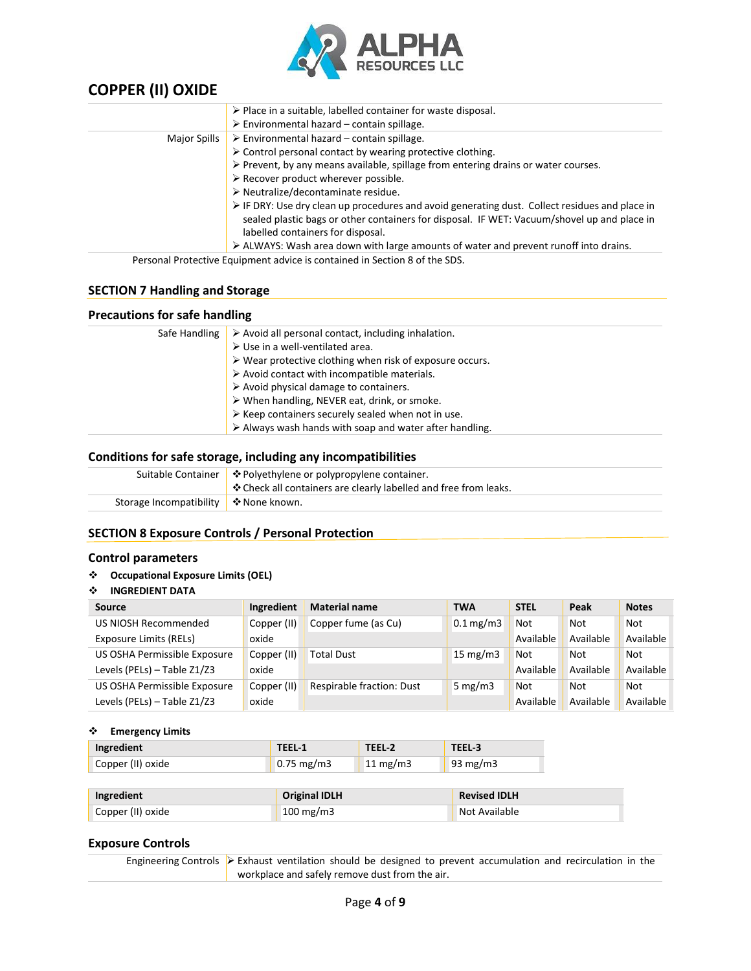

|              | $\triangleright$ Place in a suitable, labelled container for waste disposal.                                  |
|--------------|---------------------------------------------------------------------------------------------------------------|
|              | $\triangleright$ Environmental hazard – contain spillage.                                                     |
| Major Spills | $\triangleright$ Environmental hazard – contain spillage.                                                     |
|              | > Control personal contact by wearing protective clothing.                                                    |
|              | $\triangleright$ Prevent, by any means available, spillage from entering drains or water courses.             |
|              | $\triangleright$ Recover product wherever possible.                                                           |
|              | > Neutralize/decontaminate residue.                                                                           |
|              | $\triangleright$ IF DRY: Use dry clean up procedures and avoid generating dust. Collect residues and place in |
|              | sealed plastic bags or other containers for disposal. IF WET: Vacuum/shovel up and place in                   |
|              | labelled containers for disposal.                                                                             |
|              | $\triangleright$ ALWAYS: Wash area down with large amounts of water and prevent runoff into drains.           |
|              | Personal Protective Equipment advice is contained in Section 8 of the SDS.                                    |

# **SECTION 7 Handling and Storage**

# **Precautions for safe handling**

| Safe Handling | $\triangleright$ Avoid all personal contact, including inhalation.      |
|---------------|-------------------------------------------------------------------------|
|               | $\triangleright$ Use in a well-ventilated area.                         |
|               | $\triangleright$ Wear protective clothing when risk of exposure occurs. |
|               | $\triangleright$ Avoid contact with incompatible materials.             |
|               | $\triangleright$ Avoid physical damage to containers.                   |
|               | > When handling, NEVER eat, drink, or smoke.                            |
|               | $\triangleright$ Keep containers securely sealed when not in use.       |
|               | $\triangleright$ Always wash hands with soap and water after handling.  |

#### **Conditions for safe storage, including any incompatibilities**

|                                            | Suitable Container   ❖ Polyethylene or polypropylene container. |
|--------------------------------------------|-----------------------------------------------------------------|
|                                            | ↓ Deck all containers are clearly labelled and free from leaks. |
| Storage Incompatibility $\phi$ None known. |                                                                 |
|                                            |                                                                 |

# **SECTION 8 Exposure Controls / Personal Protection**

#### **Control parameters**

#### ❖ **Occupational Exposure Limits (OEL)**

# ❖ **INGREDIENT DATA**

| Source                       | Ingredient  | <b>Material name</b>             | <b>TWA</b>             | <b>STEL</b> | Peak       | <b>Notes</b> |
|------------------------------|-------------|----------------------------------|------------------------|-------------|------------|--------------|
| US NIOSH Recommended         | Copper (II) | Copper fume (as Cu)              | $0.1 \,\mathrm{mg/m3}$ | Not         | <b>Not</b> | <b>Not</b>   |
| Exposure Limits (RELs)       | oxide       |                                  |                        | Available   | Available  | Available    |
| US OSHA Permissible Exposure | Copper (II) | Total Dust                       | 15 mg/m $3$            | Not         | Not        | <b>Not</b>   |
| Levels (PELs) - Table Z1/Z3  | oxide       |                                  |                        | Available   | Available  | Available    |
| US OSHA Permissible Exposure | Copper (II) | <b>Respirable fraction: Dust</b> | 5 mg/m $3$             | Not         | Not        | <b>Not</b>   |
| Levels (PELs) - Table Z1/Z3  | oxide       |                                  |                        | Available   | Available  | Available    |

#### ❖ **Emergency Limits**

| Ingredient        | TEEL-1             | TEEL-2            | TEEL-3   |
|-------------------|--------------------|-------------------|----------|
| Copper (II) oxide | $\vert$ 0.75 mg/m3 | $11 \text{ mg/m}$ | 93 mg/m3 |

| Ingredient        | <b>Original IDLH</b> | <b>Revised IDLH</b> |
|-------------------|----------------------|---------------------|
| Copper (II) oxide | $100 \text{ mg/m}$   | Not Available       |

### **Exposure Controls**

Engineering Controls ➢ Exhaust ventilation should be designed to prevent accumulation and recirculation in the workplace and safely remove dust from the air.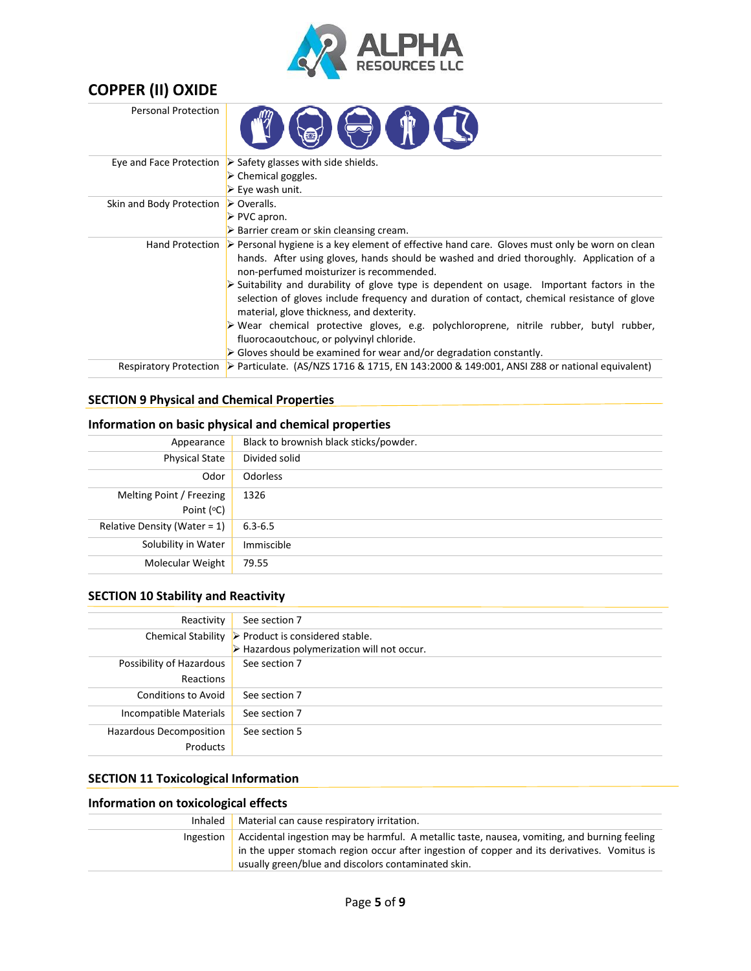

| <b>COPPER (II) OXIDE</b>   |                                                                                                                                                                                                                                                                      |
|----------------------------|----------------------------------------------------------------------------------------------------------------------------------------------------------------------------------------------------------------------------------------------------------------------|
| <b>Personal Protection</b> | <b>THE THE THE TE</b>                                                                                                                                                                                                                                                |
|                            | Eye and Face Protection $\triangleright$ Safety glasses with side shields.                                                                                                                                                                                           |
|                            | $\triangleright$ Chemical goggles.                                                                                                                                                                                                                                   |
|                            | $\triangleright$ Eye wash unit.                                                                                                                                                                                                                                      |
| Skin and Body Protection   | $\triangleright$ Overalls.                                                                                                                                                                                                                                           |
|                            | ≻ PVC apron.                                                                                                                                                                                                                                                         |
|                            | $\triangleright$ Barrier cream or skin cleansing cream.                                                                                                                                                                                                              |
|                            | Hand Protection $\triangleright$ Personal hygiene is a key element of effective hand care. Gloves must only be worn on clean<br>hands. After using gloves, hands should be washed and dried thoroughly. Application of a<br>non-perfumed moisturizer is recommended. |
|                            | $\triangleright$ Suitability and durability of glove type is dependent on usage. Important factors in the<br>selection of gloves include frequency and duration of contact, chemical resistance of glove<br>material, glove thickness, and dexterity.                |
|                            | > Wear chemical protective gloves, e.g. polychloroprene, nitrile rubber, butyl rubber,<br>fluorocaoutchouc, or polyvinyl chloride.                                                                                                                                   |
|                            | $\triangleright$ Gloves should be examined for wear and/or degradation constantly.                                                                                                                                                                                   |
|                            | Respiratory Protection $\triangleright$ Particulate. (AS/NZS 1716 & 1715, EN 143:2000 & 149:001, ANSI Z88 or national equivalent)                                                                                                                                    |

# **SECTION 9 Physical and Chemical Properties**

# **Information on basic physical and chemical properties**

| Black to brownish black sticks/powder.<br>Appearance<br><b>Physical State</b><br>Divided solid<br><b>Odorless</b><br>Odor<br>Melting Point / Freezing<br>1326<br>Point (°C)<br>Relative Density (Water = $1$ )<br>$6.3 - 6.5$<br>Immiscible<br>Solubility in Water<br>Molecular Weight<br>79.55 |  |
|-------------------------------------------------------------------------------------------------------------------------------------------------------------------------------------------------------------------------------------------------------------------------------------------------|--|
|                                                                                                                                                                                                                                                                                                 |  |
|                                                                                                                                                                                                                                                                                                 |  |
|                                                                                                                                                                                                                                                                                                 |  |
|                                                                                                                                                                                                                                                                                                 |  |
|                                                                                                                                                                                                                                                                                                 |  |
|                                                                                                                                                                                                                                                                                                 |  |
|                                                                                                                                                                                                                                                                                                 |  |
|                                                                                                                                                                                                                                                                                                 |  |

# **SECTION 10 Stability and Reactivity**

| Reactivity                | See section 7                                             |
|---------------------------|-----------------------------------------------------------|
| <b>Chemical Stability</b> | $\triangleright$ Product is considered stable.            |
|                           | $\triangleright$ Hazardous polymerization will not occur. |
| Possibility of Hazardous  | See section 7                                             |
| Reactions                 |                                                           |
| Conditions to Avoid       | See section 7                                             |
| Incompatible Materials    | See section 7                                             |
| Hazardous Decomposition   | See section 5                                             |
| Products                  |                                                           |

# **SECTION 11 Toxicological Information**

# **Information on toxicological effects**

| Inhaled                                                                                                   | Material can cause respiratory irritation.                                                                                                         |  |  |
|-----------------------------------------------------------------------------------------------------------|----------------------------------------------------------------------------------------------------------------------------------------------------|--|--|
| Accidental ingestion may be harmful. A metallic taste, nausea, vomiting, and burning feeling<br>Ingestion |                                                                                                                                                    |  |  |
|                                                                                                           | in the upper stomach region occur after ingestion of copper and its derivatives. Vomitus is<br>usually green/blue and discolors contaminated skin. |  |  |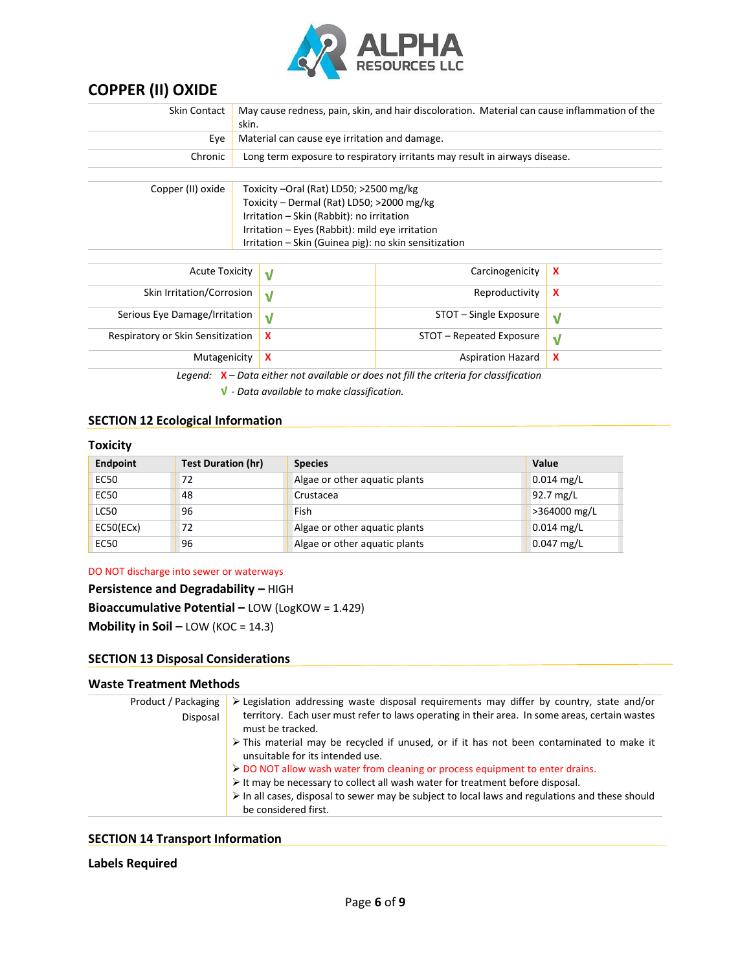

| Skin Contact                                                   | May cause redness, pain, skin, and hair discoloration. Material can cause inflammation of the<br>skin. |                                                                            |                           |                           |  |
|----------------------------------------------------------------|--------------------------------------------------------------------------------------------------------|----------------------------------------------------------------------------|---------------------------|---------------------------|--|
| Eye                                                            |                                                                                                        | Material can cause eye irritation and damage.                              |                           |                           |  |
| Chronic                                                        |                                                                                                        | Long term exposure to respiratory irritants may result in airways disease. |                           |                           |  |
|                                                                |                                                                                                        |                                                                            |                           |                           |  |
| Copper (II) oxide                                              |                                                                                                        | Toxicity –Oral (Rat) LD50; >2500 mg/kg                                     |                           |                           |  |
|                                                                |                                                                                                        | Toxicity - Dermal (Rat) LD50; >2000 mg/kg                                  |                           |                           |  |
|                                                                |                                                                                                        | Irritation - Skin (Rabbit): no irritation                                  |                           |                           |  |
|                                                                | Irritation – Eyes (Rabbit): mild eye irritation                                                        |                                                                            |                           |                           |  |
| Irritation - Skin (Guinea pig): no skin sensitization          |                                                                                                        |                                                                            |                           |                           |  |
|                                                                |                                                                                                        |                                                                            |                           |                           |  |
| <b>Acute Toxicity</b>                                          |                                                                                                        | $\sqrt{ }$                                                                 | Carcinogenicity           | X                         |  |
| Skin Irritation/Corrosion<br>$\sqrt{ }$                        |                                                                                                        | Reproductivity                                                             | $\boldsymbol{\mathsf{x}}$ |                           |  |
| Serious Eye Damage/Irritation<br>$\sqrt{ }$                    |                                                                                                        | STOT – Single Exposure                                                     | $\sqrt{}$                 |                           |  |
| $\boldsymbol{\mathsf{x}}$<br>Respiratory or Skin Sensitization |                                                                                                        | STOT – Repeated Exposure                                                   | $\sqrt{}$                 |                           |  |
| $\boldsymbol{\mathsf{x}}$<br>Mutagenicity                      |                                                                                                        |                                                                            | <b>Aspiration Hazard</b>  | $\boldsymbol{\mathsf{x}}$ |  |
|                                                                |                                                                                                        |                                                                            |                           |                           |  |

*Legend:* **X** *– Data either not available or does not fill the criteria for classification*

**√** *- Data available to make classification.*

# **SECTION 12 Ecological Information**

# **Toxicity**

| <b>Endpoint</b> | <b>Test Duration (hr)</b> | <b>Species</b>                | Value                     |
|-----------------|---------------------------|-------------------------------|---------------------------|
| <b>EC50</b>     | 72                        | Algae or other aquatic plants | $\sim 0.014 \text{ mg/L}$ |
| <b>EC50</b>     | 48                        | Crustacea                     | $92.7 \text{ mg/L}$       |
| <b>LC50</b>     | 96                        | Fish                          | >364000 mg/L              |
| EC50(ECx)       | 72                        | Algae or other aquatic plants | $0.014$ mg/L              |
| <b>EC50</b>     | 96                        | Algae or other aquatic plants | $0.047$ mg/L              |

# DO NOT discharge into sewer or waterways

# **Persistence and Degradability –** HIGH

**Bioaccumulative Potential –** LOW (LogKOW = 1.429)

**Mobility in Soil –** LOW (KOC = 14.3)

## **SECTION 13 Disposal Considerations**

# **Waste Treatment Methods**

| Product / Packaging | $\triangleright$ Legislation addressing waste disposal requirements may differ by country, state and/or                                     |
|---------------------|---------------------------------------------------------------------------------------------------------------------------------------------|
| Disposal            | territory. Each user must refer to laws operating in their area. In some areas, certain wastes<br>must be tracked.                          |
|                     | $\triangleright$ This material may be recycled if unused, or if it has not been contaminated to make it<br>unsuitable for its intended use. |
|                     | > DO NOT allow wash water from cleaning or process equipment to enter drains.                                                               |
|                     | $\triangleright$ It may be necessary to collect all wash water for treatment before disposal.                                               |
|                     | $\triangleright$ In all cases, disposal to sewer may be subject to local laws and regulations and these should                              |
|                     | be considered first.                                                                                                                        |

# **SECTION 14 Transport Information**

# **Labels Required**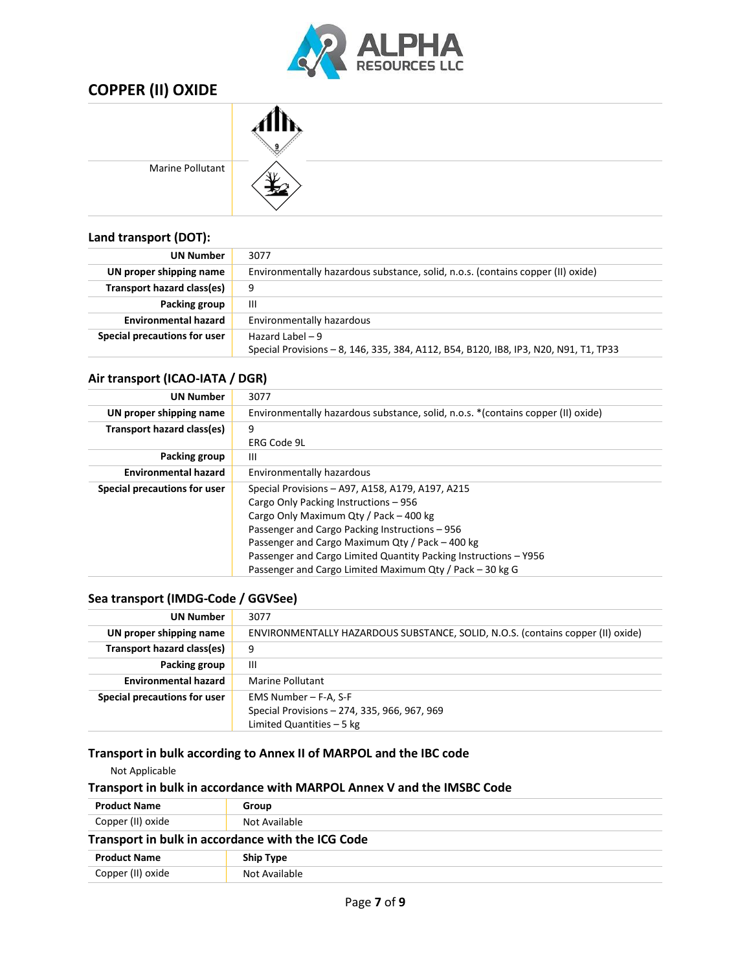

| <b>Marine Pollutant</b> |  |
|-------------------------|--|

# **Land transport (DOT):**

| <b>UN Number</b>             | 3077                                                                                 |
|------------------------------|--------------------------------------------------------------------------------------|
| UN proper shipping name      | Environmentally hazardous substance, solid, n.o.s. (contains copper (II) oxide)      |
| Transport hazard class(es)   | 9                                                                                    |
| Packing group                | Ш                                                                                    |
| <b>Environmental hazard</b>  | Environmentally hazardous                                                            |
| Special precautions for user | Hazard Label $-9$                                                                    |
|                              | Special Provisions - 8, 146, 335, 384, A112, B54, B120, IB8, IP3, N20, N91, T1, TP33 |

# **Air transport (ICAO-IATA / DGR)**

| <b>UN Number</b>             | 3077                                                                              |  |  |  |
|------------------------------|-----------------------------------------------------------------------------------|--|--|--|
| UN proper shipping name      | Environmentally hazardous substance, solid, n.o.s. * (contains copper (II) oxide) |  |  |  |
| Transport hazard class(es)   | 9                                                                                 |  |  |  |
|                              | ERG Code 9L                                                                       |  |  |  |
| Packing group                | Ш                                                                                 |  |  |  |
| <b>Environmental hazard</b>  | <b>Environmentally hazardous</b>                                                  |  |  |  |
| Special precautions for user | Special Provisions - A97, A158, A179, A197, A215                                  |  |  |  |
|                              | Cargo Only Packing Instructions - 956                                             |  |  |  |
|                              | Cargo Only Maximum Qty / Pack - 400 kg                                            |  |  |  |
|                              | Passenger and Cargo Packing Instructions – 956                                    |  |  |  |
|                              | Passenger and Cargo Maximum Qty / Pack - 400 kg                                   |  |  |  |
|                              | Passenger and Cargo Limited Quantity Packing Instructions - Y956                  |  |  |  |
|                              | Passenger and Cargo Limited Maximum Qty / Pack - 30 kg G                          |  |  |  |
|                              |                                                                                   |  |  |  |

# **Sea transport (IMDG-Code / GGVSee)**

| <b>UN Number</b>             | 3077                                                                            |
|------------------------------|---------------------------------------------------------------------------------|
| UN proper shipping name      | ENVIRONMENTALLY HAZARDOUS SUBSTANCE, SOLID, N.O.S. (contains copper (II) oxide) |
| Transport hazard class(es)   | 9                                                                               |
| Packing group                | Ш                                                                               |
| <b>Environmental hazard</b>  | Marine Pollutant                                                                |
| Special precautions for user | EMS Number - F-A, S-F                                                           |
|                              | Special Provisions - 274, 335, 966, 967, 969                                    |
|                              | Limited Quantities $-5$ kg                                                      |

# **Transport in bulk according to Annex II of MARPOL and the IBC code**

Not Applicable

# **Transport in bulk in accordance with MARPOL Annex V and the IMSBC Code**

| <b>Product Name</b> | Group                                             |  |
|---------------------|---------------------------------------------------|--|
| Copper (II) oxide   | Not Available                                     |  |
|                     | Transport in bulk in accordance with the ICG Code |  |
| <b>Product Name</b> | <b>Ship Type</b>                                  |  |
| Copper (II) oxide   | Not Available                                     |  |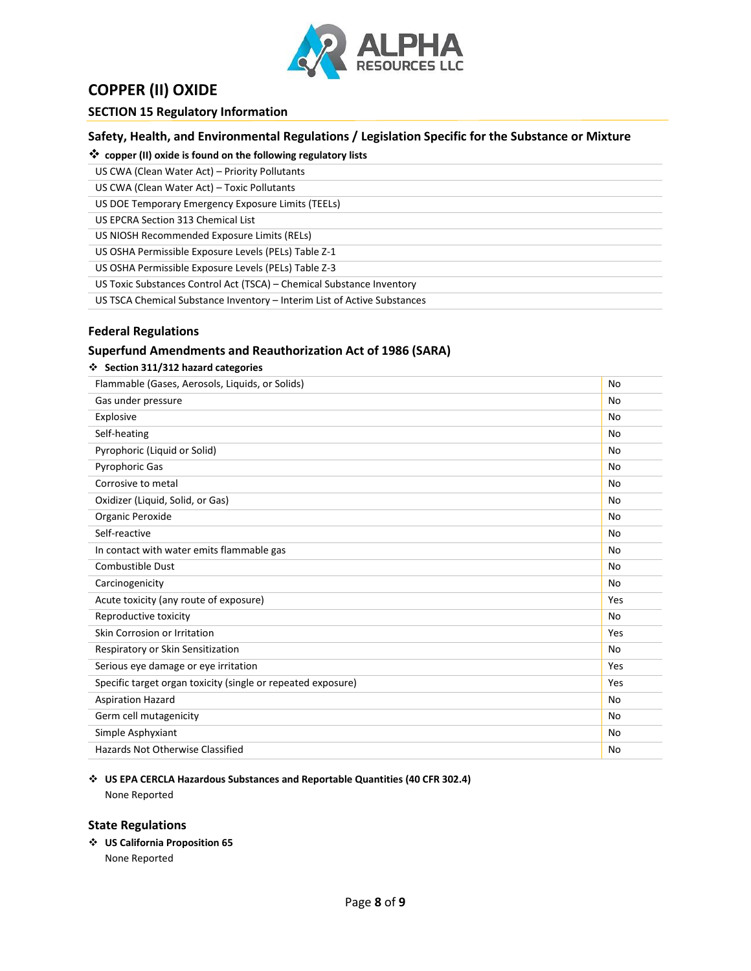

# **SECTION 15 Regulatory Information**

# **Safety, Health, and Environmental Regulations / Legislation Specific for the Substance or Mixture**

❖ **copper (II) oxide is found on the following regulatory lists**

US CWA (Clean Water Act) – Priority Pollutants

US CWA (Clean Water Act) – Toxic Pollutants

US DOE Temporary Emergency Exposure Limits (TEELs)

US EPCRA Section 313 Chemical List

US NIOSH Recommended Exposure Limits (RELs)

US OSHA Permissible Exposure Levels (PELs) Table Z-1

US OSHA Permissible Exposure Levels (PELs) Table Z-3

US Toxic Substances Control Act (TSCA) – Chemical Substance Inventory

US TSCA Chemical Substance Inventory – Interim List of Active Substances

# **Federal Regulations**

# **Superfund Amendments and Reauthorization Act of 1986 (SARA)**

|  |  |  |  | ❖ Section 311/312 hazard categories |
|--|--|--|--|-------------------------------------|
|--|--|--|--|-------------------------------------|

| Flammable (Gases, Aerosols, Liquids, or Solids)              | No        |
|--------------------------------------------------------------|-----------|
| Gas under pressure                                           | No        |
| Explosive                                                    | No        |
| Self-heating                                                 | No        |
| Pyrophoric (Liquid or Solid)                                 | No        |
| Pyrophoric Gas                                               | No        |
| Corrosive to metal                                           | No        |
| Oxidizer (Liquid, Solid, or Gas)                             | No        |
| Organic Peroxide                                             | No        |
| Self-reactive                                                | No        |
| In contact with water emits flammable gas                    | No        |
| Combustible Dust                                             | No        |
| Carcinogenicity                                              | No        |
| Acute toxicity (any route of exposure)                       | Yes       |
| Reproductive toxicity                                        | No        |
| Skin Corrosion or Irritation                                 | Yes       |
| Respiratory or Skin Sensitization                            | <b>No</b> |
| Serious eye damage or eye irritation                         | Yes       |
| Specific target organ toxicity (single or repeated exposure) | Yes       |
| <b>Aspiration Hazard</b>                                     | No        |
| Germ cell mutagenicity                                       | No        |
| Simple Asphyxiant                                            | No        |
| <b>Hazards Not Otherwise Classified</b>                      | No        |

#### ❖ **US EPA CERCLA Hazardous Substances and Reportable Quantities (40 CFR 302.4)** None Reported

### **State Regulations**

❖ **US California Proposition 65**

None Reported